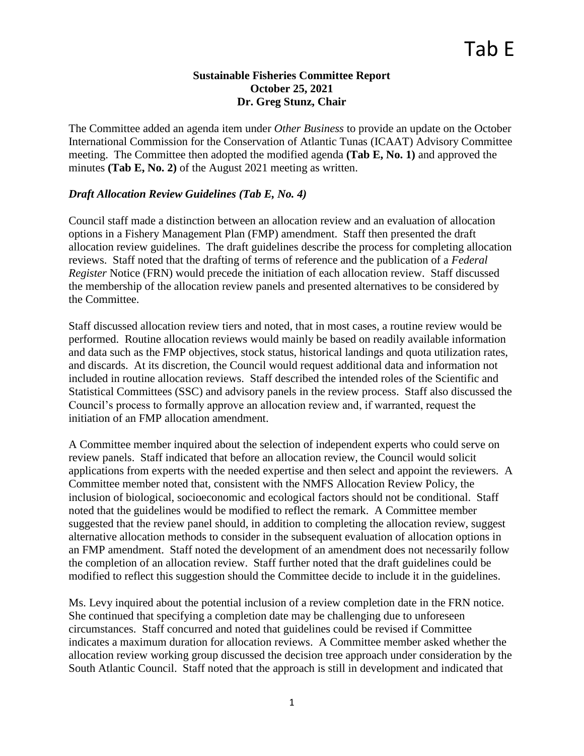### **Sustainable Fisheries Committee Report October 25, 2021 Dr. Greg Stunz, Chair**

The Committee added an agenda item under *Other Business* to provide an update on the October International Commission for the Conservation of Atlantic Tunas (ICAAT) Advisory Committee meeting. The Committee then adopted the modified agenda **(Tab E, No. 1)** and approved the minutes **(Tab E, No. 2)** of the August 2021 meeting as written.

## *Draft Allocation Review Guidelines (Tab E, No. 4)*

Council staff made a distinction between an allocation review and an evaluation of allocation options in a Fishery Management Plan (FMP) amendment. Staff then presented the draft allocation review guidelines. The draft guidelines describe the process for completing allocation reviews. Staff noted that the drafting of terms of reference and the publication of a *Federal Register* Notice (FRN) would precede the initiation of each allocation review. Staff discussed the membership of the allocation review panels and presented alternatives to be considered by the Committee.

Staff discussed allocation review tiers and noted, that in most cases, a routine review would be performed. Routine allocation reviews would mainly be based on readily available information and data such as the FMP objectives, stock status, historical landings and quota utilization rates, and discards. At its discretion, the Council would request additional data and information not included in routine allocation reviews. Staff described the intended roles of the Scientific and Statistical Committees (SSC) and advisory panels in the review process. Staff also discussed the Council's process to formally approve an allocation review and, if warranted, request the initiation of an FMP allocation amendment.

A Committee member inquired about the selection of independent experts who could serve on review panels. Staff indicated that before an allocation review, the Council would solicit applications from experts with the needed expertise and then select and appoint the reviewers. A Committee member noted that, consistent with the NMFS Allocation Review Policy, the inclusion of biological, socioeconomic and ecological factors should not be conditional. Staff noted that the guidelines would be modified to reflect the remark. A Committee member suggested that the review panel should, in addition to completing the allocation review, suggest alternative allocation methods to consider in the subsequent evaluation of allocation options in an FMP amendment. Staff noted the development of an amendment does not necessarily follow the completion of an allocation review. Staff further noted that the draft guidelines could be modified to reflect this suggestion should the Committee decide to include it in the guidelines.

Ms. Levy inquired about the potential inclusion of a review completion date in the FRN notice. She continued that specifying a completion date may be challenging due to unforeseen circumstances. Staff concurred and noted that guidelines could be revised if Committee indicates a maximum duration for allocation reviews. A Committee member asked whether the allocation review working group discussed the decision tree approach under consideration by the South Atlantic Council. Staff noted that the approach is still in development and indicated that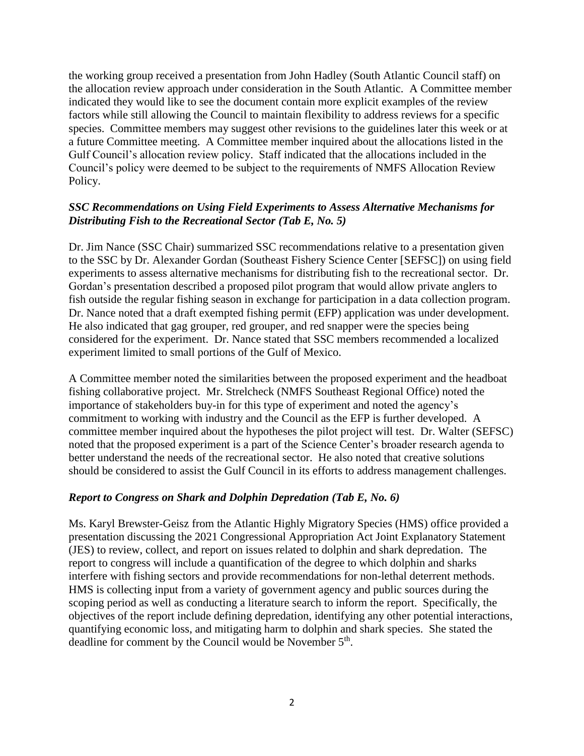the working group received a presentation from John Hadley (South Atlantic Council staff) on the allocation review approach under consideration in the South Atlantic. A Committee member indicated they would like to see the document contain more explicit examples of the review factors while still allowing the Council to maintain flexibility to address reviews for a specific species. Committee members may suggest other revisions to the guidelines later this week or at a future Committee meeting. A Committee member inquired about the allocations listed in the Gulf Council's allocation review policy. Staff indicated that the allocations included in the Council's policy were deemed to be subject to the requirements of NMFS Allocation Review Policy.

## *SSC Recommendations on Using Field Experiments to Assess Alternative Mechanisms for Distributing Fish to the Recreational Sector (Tab E, No. 5)*

Dr. Jim Nance (SSC Chair) summarized SSC recommendations relative to a presentation given to the SSC by Dr. Alexander Gordan (Southeast Fishery Science Center [SEFSC]) on using field experiments to assess alternative mechanisms for distributing fish to the recreational sector. Dr. Gordan's presentation described a proposed pilot program that would allow private anglers to fish outside the regular fishing season in exchange for participation in a data collection program. Dr. Nance noted that a draft exempted fishing permit (EFP) application was under development. He also indicated that gag grouper, red grouper, and red snapper were the species being considered for the experiment. Dr. Nance stated that SSC members recommended a localized experiment limited to small portions of the Gulf of Mexico.

A Committee member noted the similarities between the proposed experiment and the headboat fishing collaborative project. Mr. Strelcheck (NMFS Southeast Regional Office) noted the importance of stakeholders buy-in for this type of experiment and noted the agency's commitment to working with industry and the Council as the EFP is further developed. A committee member inquired about the hypotheses the pilot project will test. Dr. Walter (SEFSC) noted that the proposed experiment is a part of the Science Center's broader research agenda to better understand the needs of the recreational sector. He also noted that creative solutions should be considered to assist the Gulf Council in its efforts to address management challenges.

#### *Report to Congress on Shark and Dolphin Depredation (Tab E, No. 6)*

Ms. Karyl Brewster-Geisz from the Atlantic Highly Migratory Species (HMS) office provided a presentation discussing the 2021 Congressional Appropriation Act Joint Explanatory Statement (JES) to review, collect, and report on issues related to dolphin and shark depredation. The report to congress will include a quantification of the degree to which dolphin and sharks interfere with fishing sectors and provide recommendations for non-lethal deterrent methods. HMS is collecting input from a variety of government agency and public sources during the scoping period as well as conducting a literature search to inform the report. Specifically, the objectives of the report include defining depredation, identifying any other potential interactions, quantifying economic loss, and mitigating harm to dolphin and shark species. She stated the deadline for comment by the Council would be November 5<sup>th</sup>.